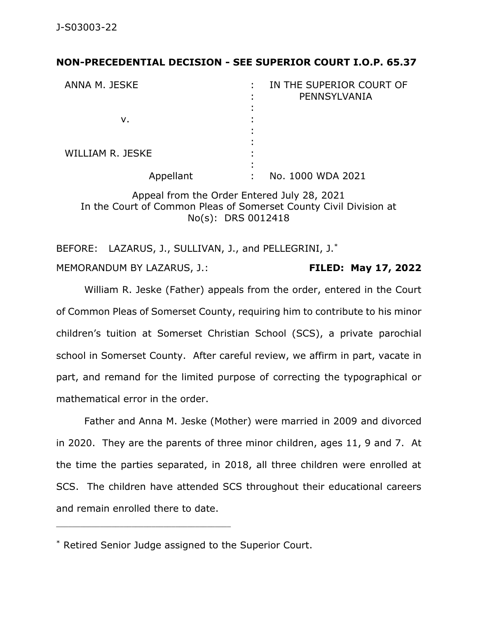## **NON-PRECEDENTIAL DECISION - SEE SUPERIOR COURT I.O.P. 65.37**

| ANNA M. JESKE    | IN THE SUPERIOR COURT OF<br>PENNSYLVANIA |
|------------------|------------------------------------------|
|                  |                                          |
| v.               |                                          |
|                  |                                          |
| WILLIAM R. JESKE |                                          |
| Appellant        | No. 1000 WDA 2021<br>٠                   |

Appeal from the Order Entered July 28, 2021 In the Court of Common Pleas of Somerset County Civil Division at No(s): DRS 0012418

BEFORE: LAZARUS, J., SULLIVAN, J., and PELLEGRINI, J.\* MEMORANDUM BY LAZARUS, J.: **FILED: May 17, 2022**

William R. Jeske (Father) appeals from the order, entered in the Court of Common Pleas of Somerset County, requiring him to contribute to his minor children's tuition at Somerset Christian School (SCS), a private parochial school in Somerset County. After careful review, we affirm in part, vacate in part, and remand for the limited purpose of correcting the typographical or mathematical error in the order.

Father and Anna M. Jeske (Mother) were married in 2009 and divorced in 2020. They are the parents of three minor children, ages 11, 9 and 7. At the time the parties separated, in 2018, all three children were enrolled at SCS. The children have attended SCS throughout their educational careers and remain enrolled there to date.

<sup>\*</sup> Retired Senior Judge assigned to the Superior Court.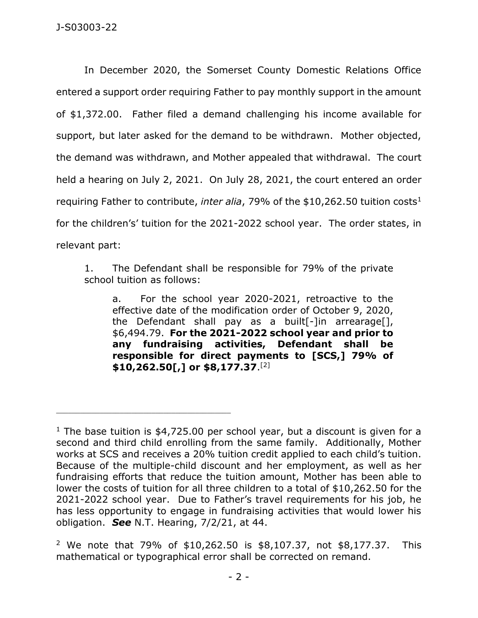In December 2020, the Somerset County Domestic Relations Office entered a support order requiring Father to pay monthly support in the amount of \$1,372.00. Father filed a demand challenging his income available for support, but later asked for the demand to be withdrawn. Mother objected, the demand was withdrawn, and Mother appealed that withdrawal. The court held a hearing on July 2, 2021. On July 28, 2021, the court entered an order requiring Father to contribute, *inter alia*, 79% of the \$10,262.50 tuition costs<sup>1</sup> for the children's' tuition for the 2021-2022 school year. The order states, in relevant part:

1. The Defendant shall be responsible for 79% of the private school tuition as follows:

a. For the school year 2020-2021, retroactive to the effective date of the modification order of October 9, 2020, the Defendant shall pay as a built[-]in arrearage[], \$6,494.79. **For the 2021-2022 school year and prior to any fundraising activities, Defendant shall be responsible for direct payments to [SCS,] 79% of \$10,262.50[,] or \$8,177.37**. [2]

<sup>&</sup>lt;sup>1</sup> The base tuition is  $$4,725.00$  per school year, but a discount is given for a second and third child enrolling from the same family. Additionally, Mother works at SCS and receives a 20% tuition credit applied to each child's tuition. Because of the multiple-child discount and her employment, as well as her fundraising efforts that reduce the tuition amount, Mother has been able to lower the costs of tuition for all three children to a total of \$10,262.50 for the 2021-2022 school year. Due to Father's travel requirements for his job, he has less opportunity to engage in fundraising activities that would lower his obligation. *See* N.T. Hearing, 7/2/21, at 44.

<sup>&</sup>lt;sup>2</sup> We note that 79% of \$10,262.50 is \$8,107.37, not \$8,177.37. This mathematical or typographical error shall be corrected on remand.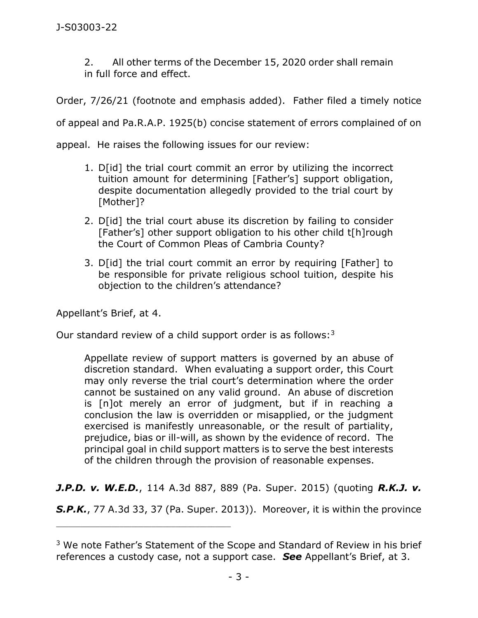2. All other terms of the December 15, 2020 order shall remain in full force and effect.

Order, 7/26/21 (footnote and emphasis added). Father filed a timely notice

of appeal and Pa.R.A.P. 1925(b) concise statement of errors complained of on

appeal. He raises the following issues for our review:

- 1. D[id] the trial court commit an error by utilizing the incorrect tuition amount for determining [Father's] support obligation, despite documentation allegedly provided to the trial court by [Mother]?
- 2. D[id] the trial court abuse its discretion by failing to consider [Father's] other support obligation to his other child t[h]rough the Court of Common Pleas of Cambria County?
- 3. D[id] the trial court commit an error by requiring [Father] to be responsible for private religious school tuition, despite his objection to the children's attendance?

Appellant's Brief, at 4.

\_\_\_\_\_\_\_\_\_\_\_\_\_\_\_\_\_\_\_\_\_\_\_\_\_\_\_\_\_\_\_\_\_\_\_\_\_\_\_\_\_\_\_\_

Our standard review of a child support order is as follows: $3$ 

Appellate review of support matters is governed by an abuse of discretion standard. When evaluating a support order, this Court may only reverse the trial court's determination where the order cannot be sustained on any valid ground. An abuse of discretion is [n]ot merely an error of judgment, but if in reaching a conclusion the law is overridden or misapplied, or the judgment exercised is manifestly unreasonable, or the result of partiality, prejudice, bias or ill-will, as shown by the evidence of record. The principal goal in child support matters is to serve the best interests of the children through the provision of reasonable expenses.

*J.P.D. v. W.E.D.*, 114 A.3d 887, 889 (Pa. Super. 2015) (quoting *R.K.J. v.* 

*S.P.K.*, 77 A.3d 33, 37 (Pa. Super. 2013)). Moreover, it is within the province

<sup>&</sup>lt;sup>3</sup> We note Father's Statement of the Scope and Standard of Review in his brief references a custody case, not a support case. *See* Appellant's Brief, at 3.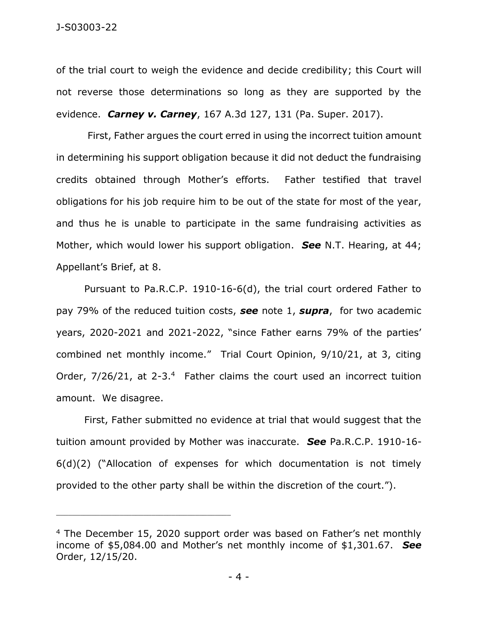of the trial court to weigh the evidence and decide credibility; this Court will not reverse those determinations so long as they are supported by the evidence. *Carney v. Carney*, 167 A.3d 127, 131 (Pa. Super. 2017).

First, Father argues the court erred in using the incorrect tuition amount in determining his support obligation because it did not deduct the fundraising credits obtained through Mother's efforts. Father testified that travel obligations for his job require him to be out of the state for most of the year, and thus he is unable to participate in the same fundraising activities as Mother, which would lower his support obligation. *See* N.T. Hearing, at 44; Appellant's Brief, at 8.

Pursuant to Pa.R.C.P. 1910-16-6(d), the trial court ordered Father to pay 79% of the reduced tuition costs, *see* note 1, *supra*, for two academic years, 2020-2021 and 2021-2022, "since Father earns 79% of the parties' combined net monthly income." Trial Court Opinion, 9/10/21, at 3, citing Order, 7/26/21, at 2-3.4 Father claims the court used an incorrect tuition amount. We disagree.

First, Father submitted no evidence at trial that would suggest that the tuition amount provided by Mother was inaccurate. *See* Pa.R.C.P. 1910-16- 6(d)(2) ("Allocation of expenses for which documentation is not timely provided to the other party shall be within the discretion of the court.").

<sup>&</sup>lt;sup>4</sup> The December 15, 2020 support order was based on Father's net monthly income of \$5,084.00 and Mother's net monthly income of \$1,301.67. *See* Order, 12/15/20.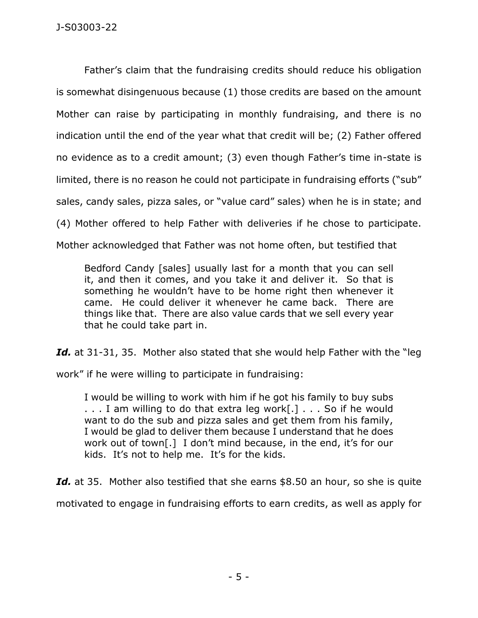Father's claim that the fundraising credits should reduce his obligation is somewhat disingenuous because (1) those credits are based on the amount Mother can raise by participating in monthly fundraising, and there is no indication until the end of the year what that credit will be; (2) Father offered no evidence as to a credit amount; (3) even though Father's time in-state is limited, there is no reason he could not participate in fundraising efforts ("sub" sales, candy sales, pizza sales, or "value card" sales) when he is in state; and (4) Mother offered to help Father with deliveries if he chose to participate. Mother acknowledged that Father was not home often, but testified that

Bedford Candy [sales] usually last for a month that you can sell it, and then it comes, and you take it and deliver it. So that is something he wouldn't have to be home right then whenever it came. He could deliver it whenever he came back. There are things like that. There are also value cards that we sell every year that he could take part in.

Id. at 31-31, 35. Mother also stated that she would help Father with the "leg

work" if he were willing to participate in fundraising:

I would be willing to work with him if he got his family to buy subs . . . I am willing to do that extra leg work[.] . . . So if he would want to do the sub and pizza sales and get them from his family, I would be glad to deliver them because I understand that he does work out of town[.] I don't mind because, in the end, it's for our kids. It's not to help me. It's for the kids.

Id. at 35. Mother also testified that she earns \$8.50 an hour, so she is quite motivated to engage in fundraising efforts to earn credits, as well as apply for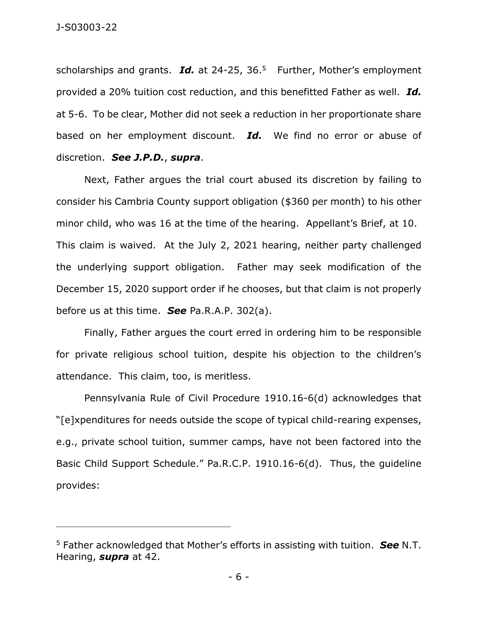scholarships and grants. Id. at 24-25, 36.<sup>5</sup> Further, Mother's employment provided a 20% tuition cost reduction, and this benefitted Father as well. *Id.* at 5-6. To be clear, Mother did not seek a reduction in her proportionate share based on her employment discount. *Id.* We find no error or abuse of discretion. *See J.P.D.*, *supra*.

Next, Father argues the trial court abused its discretion by failing to consider his Cambria County support obligation (\$360 per month) to his other minor child, who was 16 at the time of the hearing. Appellant's Brief, at 10. This claim is waived. At the July 2, 2021 hearing, neither party challenged the underlying support obligation. Father may seek modification of the December 15, 2020 support order if he chooses, but that claim is not properly before us at this time. *See* Pa.R.A.P. 302(a).

Finally, Father argues the court erred in ordering him to be responsible for private religious school tuition, despite his objection to the children's attendance. This claim, too, is meritless.

Pennsylvania Rule of Civil Procedure 1910.16-6(d) acknowledges that "[e]xpenditures for needs outside the scope of typical child-rearing expenses, e.g., private school tuition, summer camps, have not been factored into the Basic Child Support Schedule." Pa.R.C.P. 1910.16-6(d). Thus, the guideline provides:

<sup>5</sup> Father acknowledged that Mother's efforts in assisting with tuition. *See* N.T. Hearing, *supra* at 42.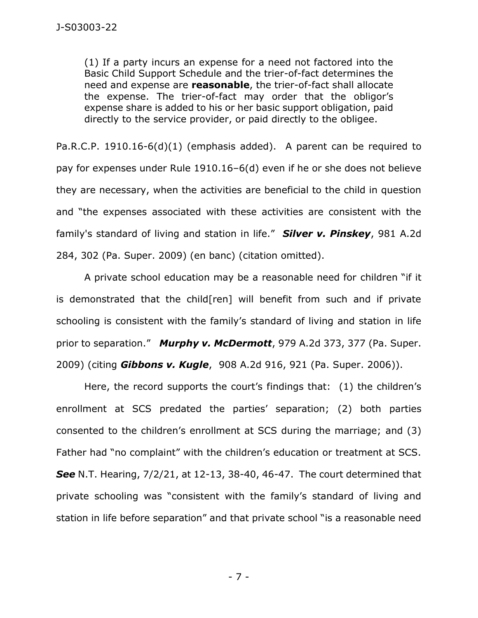(1) If a party incurs an expense for a need not factored into the Basic Child Support Schedule and the trier-of-fact determines the need and expense are **reasonable**, the trier-of-fact shall allocate the expense. The trier-of-fact may order that the obligor's expense share is added to his or her basic support obligation, paid directly to the service provider, or paid directly to the obligee.

Pa.R.C.P. 1910.16-6(d)(1) (emphasis added). A parent can be required to pay for expenses under Rule 1910.16–6(d) even if he or she does not believe they are necessary, when the activities are beneficial to the child in question and "the expenses associated with these activities are consistent with the family's standard of living and station in life." *Silver v. Pinskey*, 981 A.2d 284, 302 (Pa. Super. 2009) (en banc) (citation omitted).

A private school education may be a reasonable need for children "if it is demonstrated that the child[ren] will benefit from such and if private schooling is consistent with the family's standard of living and station in life prior to separation." *Murphy v. McDermott*, 979 A.2d 373, 377 (Pa. Super. 2009) (citing *Gibbons v. Kugle*, 908 A.2d 916, 921 (Pa. Super. 2006)).

Here, the record supports the court's findings that: (1) the children's enrollment at SCS predated the parties' separation; (2) both parties consented to the children's enrollment at SCS during the marriage; and (3) Father had "no complaint" with the children's education or treatment at SCS. *See* N.T. Hearing, 7/2/21, at 12-13, 38-40, 46-47. The court determined that private schooling was "consistent with the family's standard of living and station in life before separation" and that private school "is a reasonable need